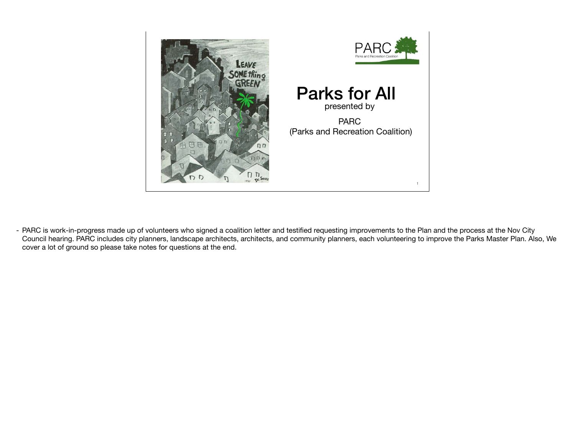

- PARC is work-in-progress made up of volunteers who signed a coalition letter and testified requesting improvements to the Plan and the process at the Nov City Council hearing. PARC includes city planners, landscape architects, architects, and community planners, each volunteering to improve the Parks Master Plan. Also, We cover a lot of ground so please take notes for questions at the end.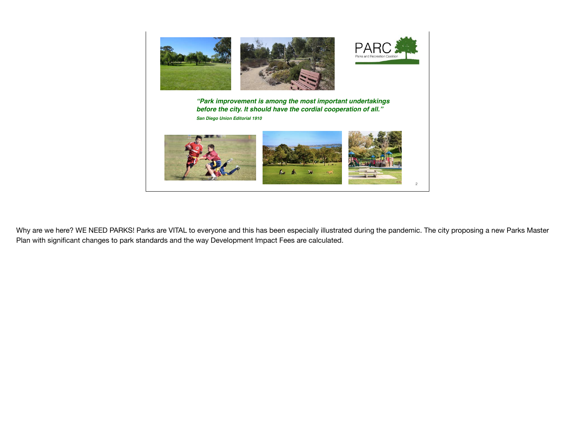

Why are we here? WE NEED PARKS! Parks are VITAL to everyone and this has been especially illustrated during the pandemic. The city proposing a new Parks Master Plan with significant changes to park standards and the way Development Impact Fees are calculated.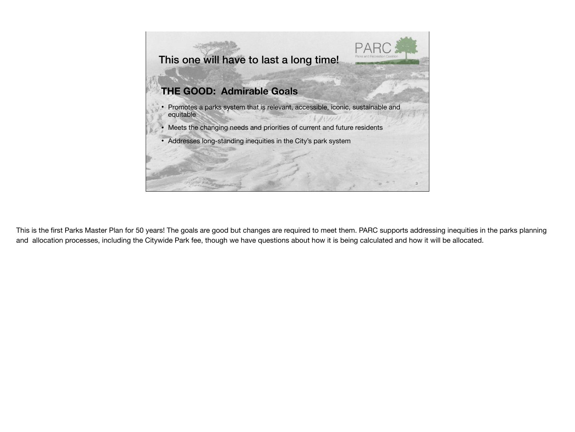

This is the first Parks Master Plan for 50 years! The goals are good but changes are required to meet them. PARC supports addressing inequities in the parks planning and allocation processes, including the Citywide Park fee, though we have questions about how it is being calculated and how it will be allocated.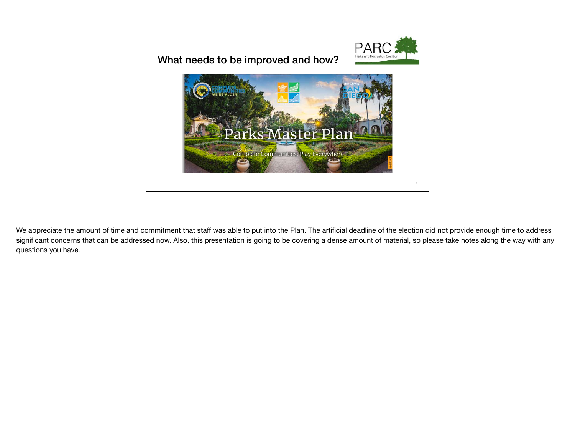

We appreciate the amount of time and commitment that staff was able to put into the Plan. The artificial deadline of the election did not provide enough time to address significant concerns that can be addressed now. Also, this presentation is going to be covering a dense amount of material, so please take notes along the way with any questions you have.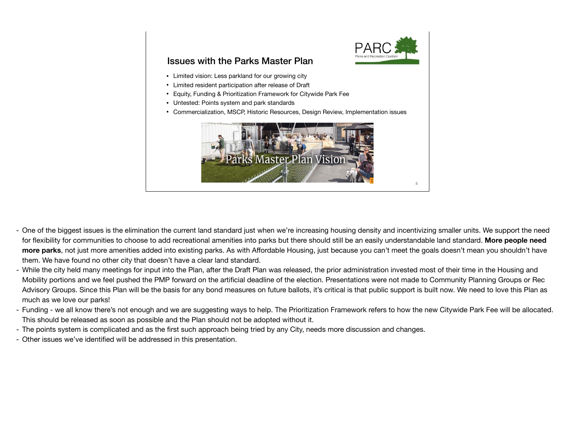

#### Issues with the Parks Master Plan

- Limited vision: Less parkland for our growing city
- Limited resident participation after release of Draft
- Equity, Funding & Prioritization Framework for Citywide Park Fee
- Untested: Points system and park standards
- Commercialization, MSCP, Historic Resources, Design Review, Implementation issues



- One of the biggest issues is the elimination the current land standard just when we're increasing housing density and incentivizing smaller units. We support the need for flexibility for communities to choose to add recreational amenities into parks but there should still be an easily understandable land standard. **More people need more parks**, not just more amenities added into existing parks. As with Affordable Housing, just because you can't meet the goals doesn't mean you shouldn't have them. We have found no other city that doesn't have a clear land standard.
- While the city held many meetings for input into the Plan, after the Draft Plan was released, the prior administration invested most of their time in the Housing and Mobility portions and we feel pushed the PMP forward on the artificial deadline of the election. Presentations were not made to Community Planning Groups or Rec Advisory Groups. Since this Plan will be the basis for any bond measures on future ballots, it's critical is that public support is built now. We need to love this Plan as much as we love our parks!
- Funding we all know there's not enough and we are suggesting ways to help. The Prioritization Framework refers to how the new Citywide Park Fee will be allocated. This should be released as soon as possible and the Plan should not be adopted without it.
- The points system is complicated and as the first such approach being tried by any City, needs more discussion and changes.
- Other issues we've identified will be addressed in this presentation.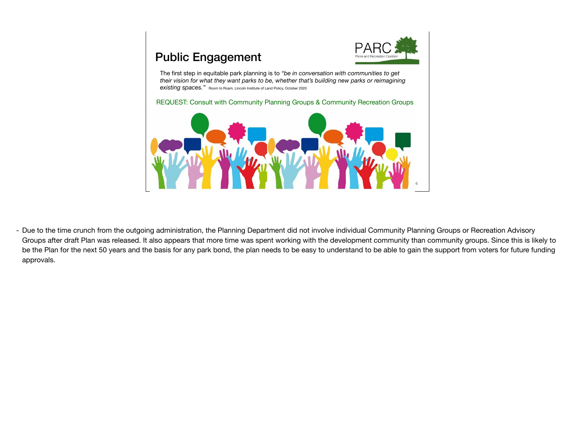

# Public Engagement

The first step in equitable park planning is to *"be in conversation with communities to get their vision for what they want parks to be, whether that's building new parks or reimagining*  **existing spaces."** Room to Roam, Lincoln Institute of Land Policy, October 2020

REQUEST: Consult with Community Planning Groups & Community Recreation Groups



- Due to the time crunch from the outgoing administration, the Planning Department did not involve individual Community Planning Groups or Recreation Advisory Groups after draft Plan was released. It also appears that more time was spent working with the development community than community groups. Since this is likely to be the Plan for the next 50 years and the basis for any park bond, the plan needs to be easy to understand to be able to gain the support from voters for future funding approvals.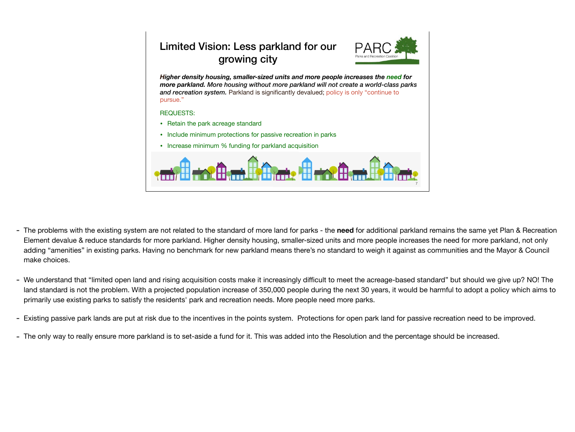### Limited Vision: Less parkland for our growing city



*Higher density housing, smaller-sized units and more people increases the need for more parkland. More housing without more parkland will not create a world-class parks and recreation system.* Parkland is significantly devalued; policy is only "continue to pursue."

- Retain the park acreage standard
- Include minimum protections for passive recreation in parks
- Increase minimum % funding for parkland acquisition



- The problems with the existing system are not related to the standard of more land for parks the **need** for additional parkland remains the same yet Plan & Recreation Element devalue & reduce standards for more parkland. Higher density housing, smaller-sized units and more people increases the need for more parkland, not only adding "amenities" in existing parks. Having no benchmark for new parkland means there's no standard to weigh it against as communities and the Mayor & Council make choices.
- We understand that "limited open land and rising acquisition costs make it increasingly difficult to meet the acreage-based standard" but should we give up? NO! The land standard is not the problem. With a projected population increase of 350,000 people during the next 30 years, it would be harmful to adopt a policy which aims to primarily use existing parks to satisfy the residents' park and recreation needs. More people need more parks.
- Existing passive park lands are put at risk due to the incentives in the points system. Protections for open park land for passive recreation need to be improved.
- The only way to really ensure more parkland is to set-aside a fund for it. This was added into the Resolution and the percentage should be increased.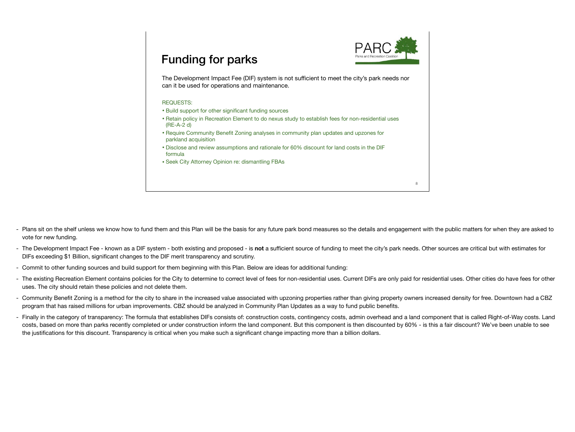

## Funding for parks

The Development Impact Fee (DIF) system is not sufficient to meet the city's park needs nor can it be used for operations and maintenance.

- Build support for other significant funding sources
- Retain policy in Recreation Element to do nexus study to establish fees for non-residential uses (RE-A-2 d)
- Require Community Benefit Zoning analyses in community plan updates and upzones for parkland acquisition
- Disclose and review assumptions and rationale for 60% discount for land costs in the DIF formula
- Seek City Attorney Opinion re: dismantling FBAs

- Plans sit on the shelf unless we know how to fund them and this Plan will be the basis for any future park bond measures so the details and engagement with the public matters for when they are asked to vote for new funding.
- The Development Impact Fee known as a DIF system both existing and proposed is **not** a sufficient source of funding to meet the city's park needs. Other sources are critical but with estimates for DIFs exceeding \$1 Billion, significant changes to the DIF merit transparency and scrutiny.
- Commit to other funding sources and build support for them beginning with this Plan. Below are ideas for additional funding:
- The existing Recreation Element contains policies for the City to determine to correct level of fees for non-residential uses. Current DIFs are only paid for residential uses. Other cities do have fees for other uses. The city should retain these policies and not delete them.
- Community Benefit Zoning is a method for the city to share in the increased value associated with upzoning properties rather than giving property owners increased density for free. Downtown had a CBZ program that has raised millions for urban improvements. CBZ should be analyzed in Community Plan Updates as a way to fund public benefits.
- Finally in the category of transparency: The formula that establishes DIFs consists of: construction costs, contingency costs, admin overhead and a land component that is called Right-of-Way costs. Land costs, based on more than parks recently completed or under construction inform the land component. But this component is then discounted by 60% - is this a fair discount? We've been unable to see the justifications for this discount. Transparency is critical when you make such a significant change impacting more than a billion dollars.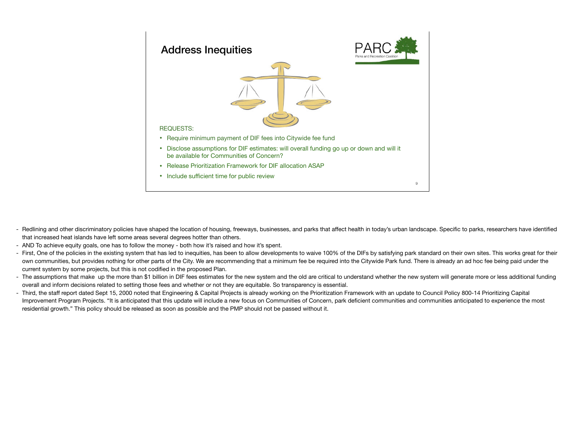

- Redlining and other discriminatory policies have shaped the location of housing, freeways, businesses, and parks that affect health in today's urban landscape. Specific to parks, researchers have identified that increased heat islands have left some areas several degrees hotter than others.
- AND To achieve equity goals, one has to follow the money both how it's raised and how it's spent.
- First, One of the policies in the existing system that has led to inequities, has been to allow developments to waive 100% of the DIFs by satisfying park standard on their own sites. This works great for their own communities, but provides nothing for other parts of the City. We are recommending that a minimum fee be required into the Citywide Park fund. There is already an ad hoc fee being paid under the current system by some projects, but this is not codified in the proposed Plan.
- The assumptions that make up the more than \$1 billion in DIF fees estimates for the new system and the old are critical to understand whether the new system will generate more or less additional funding overall and inform decisions related to setting those fees and whether or not they are equitable. So transparency is essential.
- Third, the staff report dated Sept 15, 2000 noted that Engineering & Capital Projects is already working on the Prioritization Framework with an update to Council Policy 800-14 Prioritizing Capital Improvement Program Projects. "It is anticipated that this update will include a new focus on Communities of Concern, park deficient communities and communities anticipated to experience the most residential growth." This policy should be released as soon as possible and the PMP should not be passed without it.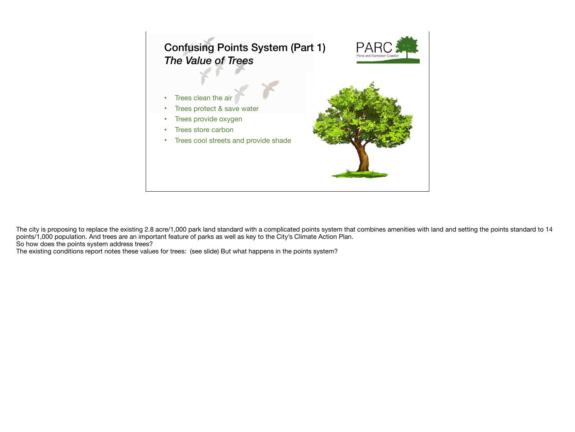

The city is proposing to replace the existing 2.8 acre/1,000 park land standard with a complicated points system that combines amenities with land and setting the points standard to 14 points/1,000 population. And trees are an important feature of parks as well as key to the City's Climate Action Plan. So how does the points system address trees?

The existing conditions report notes these values for trees: (see slide) But what happens in the points system?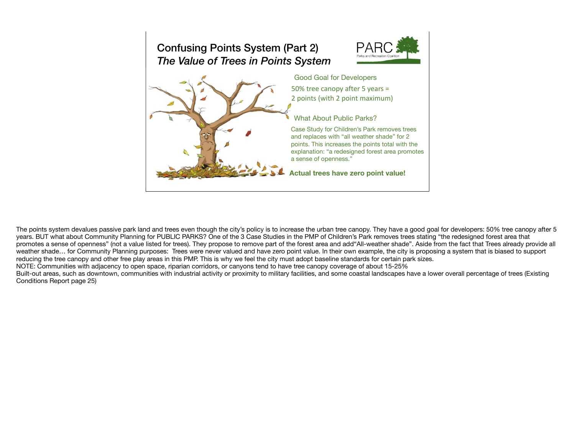## Confusing Points System (Part 2) *The Value of Trees in Points System*





The points system devalues passive park land and trees even though the city's policy is to increase the urban tree canopy. They have a good goal for developers: 50% tree canopy after 5 years. BUT what about Community Planning for PUBLIC PARKS? One of the 3 Case Studies in the PMP of Children's Park removes trees stating "the redesigned forest area that promotes a sense of openness" (not a value listed for trees). They propose to remove part of the forest area and add"All-weather shade". Aside from the fact that Trees already provide all weather shade… for Community Planning purposes: Trees were never valued and have zero point value. In their own example, the city is proposing a system that is biased to support reducing the tree canopy and other free play areas in this PMP. This is why we feel the city must adopt baseline standards for certain park sizes.

NOTE: Communities with adjacency to open space, riparian corridors, or canyons tend to have tree canopy coverage of about 15-25%

Built-out areas, such as downtown, communities with industrial activity or proximity to military facilities, and some coastal landscapes have a lower overall percentage of trees (Existing Conditions Report page 25)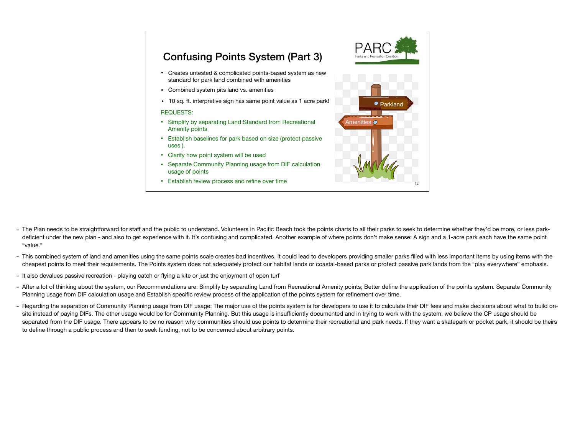## Confusing Points System (Part 3)

- Creates untested & complicated points-based system as new standard for park land combined with amenities
- Combined system pits land vs. amenities
- 10 sq. ft. interpretive sign has same point value as 1 acre park!

- Simplify by separating Land Standard from Recreational Amenity points
- Establish baselines for park based on size (protect passive uses ).
- Clarify how point system will be used
- Separate Community Planning usage from DIF calculation usage of points
- Establish review process and refine over time



- The Plan needs to be straightforward for staff and the public to understand. Volunteers in Pacific Beach took the points charts to all their parks to seek to determine whether they'd be more, or less parkdeficient under the new plan - and also to get experience with it. It's confusing and complicated. Another example of where points don't make sense: A sign and a 1-acre park each have the same point "value."
- This combined system of land and amenities using the same points scale creates bad incentives. It could lead to developers providing smaller parks filled with less important items by using items with the cheapest points to meet their requirements. The Points system does not adequately protect our habitat lands or coastal-based parks or protect passive park lands from the "play everywhere" emphasis.
- It also devalues passive recreation playing catch or flying a kite or just the enjoyment of open turf
- After a lot of thinking about the system, our Recommendations are: Simplify by separating Land from Recreational Amenity points; Better define the application of the points system. Separate Community Planning usage from DIF calculation usage and Establish specific review process of the application of the points system for refinement over time.
- Regarding the separation of Community Planning usage from DIF usage: The major use of the points system is for developers to use it to calculate their DIF fees and make decisions about what to build onsite instead of paying DIFs. The other usage would be for Community Planning. But this usage is insufficiently documented and in trying to work with the system, we believe the CP usage should be separated from the DIF usage. There appears to be no reason why communities should use points to determine their recreational and park needs. If they want a skatepark or pocket park, it should be theirs to define through a public process and then to seek funding, not to be concerned about arbitrary points.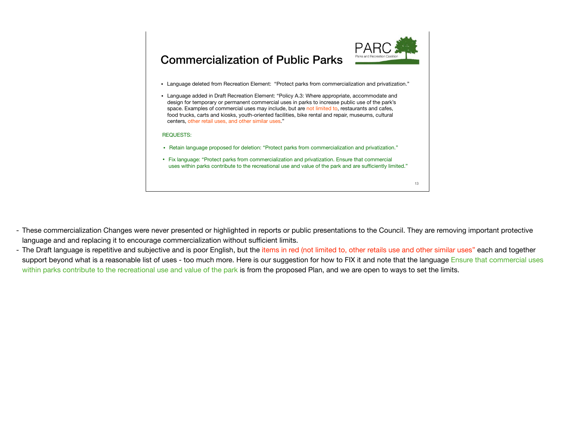

# Commercialization of Public Parks

- Language deleted from Recreation Element: "Protect parks from commercialization and privatization."
- Language added in Draft Recreation Element: "Policy A.3: Where appropriate, accommodate and design for temporary or permanent commercial uses in parks to increase public use of the park's space. Examples of commercial uses may include, but are not limited to, restaurants and cafes, food trucks, carts and kiosks, youth-oriented facilities, bike rental and repair, museums, cultural centers, other retail uses, and other similar uses."

- Retain language proposed for deletion: "Protect parks from commercialization and privatization."
- Fix language: "Protect parks from commercialization and privatization. Ensure that commercial uses within parks contribute to the recreational use and value of the park and are sufficiently limited."

- These commercialization Changes were never presented or highlighted in reports or public presentations to the Council. They are removing important protective language and and replacing it to encourage commercialization without sufficient limits.
- The Draft language is repetitive and subjective and is poor English, but the *items in red (not limited to, other retails use and other similar uses*" each and together support beyond what is a reasonable list of uses - too much more. Here is our suggestion for how to FIX it and note that the language Ensure that commercial uses within parks contribute to the recreational use and value of the park is from the proposed Plan, and we are open to ways to set the limits.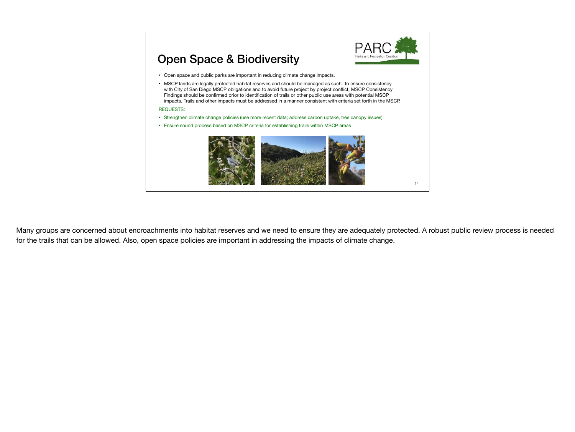

# Open Space & Biodiversity

- Open space and public parks are important in reducing climate change impacts.
- MSCP lands are legally protected habitat reserves and should be managed as such. To ensure consistency with City of San Diego MSCP obligations and to avoid future project by project conflict, MSCP Consistency Findings should be confirmed prior to identification of trails or other public use areas with potential MSCP impacts. Trails and other impacts must be addressed in a manner consistent with criteria set forth in the MSCP.

#### REQUESTS:

- Strengthen climate change policies (use more recent data; address carbon uptake, tree canopy issues)
- Ensure sound process based on MSCP criteria for establishing trails within MSCP areas



Many groups are concerned about encroachments into habitat reserves and we need to ensure they are adequately protected. A robust public review process is needed for the trails that can be allowed. Also, open space policies are important in addressing the impacts of climate change.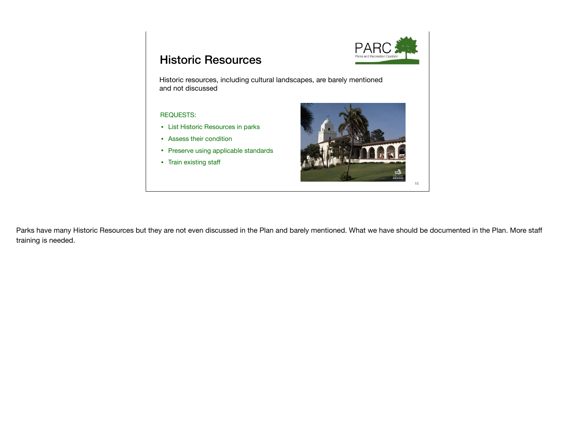

## Historic Resources

Historic resources, including cultural landscapes, are barely mentioned and not discussed

#### REQUESTS:

- List Historic Resources in parks
- Assess their condition
- Preserve using applicable standards
- Train existing staff



Parks have many Historic Resources but they are not even discussed in the Plan and barely mentioned. What we have should be documented in the Plan. More staff training is needed.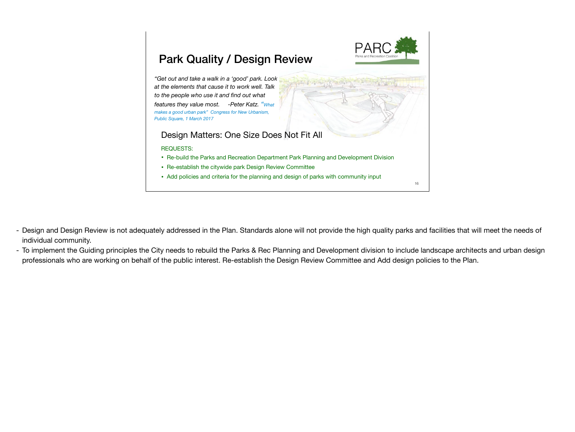

- Design and Design Review is not adequately addressed in the Plan. Standards alone will not provide the high quality parks and facilities that will meet the needs of individual community.
- To implement the Guiding principles the City needs to rebuild the Parks & Rec Planning and Development division to include landscape architects and urban design professionals who are working on behalf of the public interest. Re-establish the Design Review Committee and Add design policies to the Plan.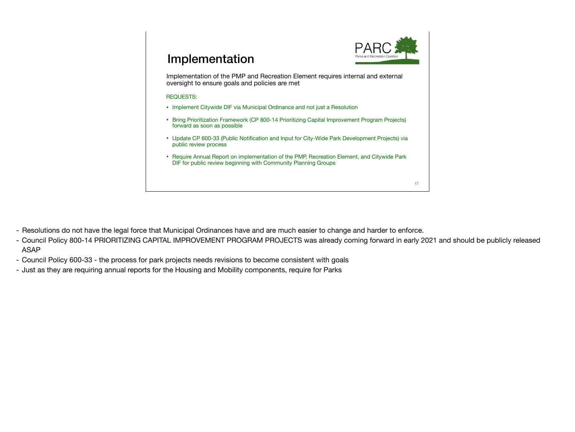

# Implementation

Implementation of the PMP and Recreation Element requires internal and external oversight to ensure goals and policies are met

- Implement Citywide DIF via Municipal Ordinance and not just a Resolution
- Bring Prioritization Framework (CP 800-14 Prioritizing Capital Improvement Program Projects) forward as soon as possible
- Update CP 600-33 (Public Notification and Input for City-Wide Park Development Projects) via public review process
- Require Annual Report on implementation of the PMP, Recreation Element, and Citywide Park DIF for public review beginning with Community Planning Groups

- Resolutions do not have the legal force that Municipal Ordinances have and are much easier to change and harder to enforce.
- Council Policy 800-14 PRIORITIZING CAPITAL IMPROVEMENT PROGRAM PROJECTS was already coming forward in early 2021 and should be publicly released ASAP
- Council Policy 600-33 the process for park projects needs revisions to become consistent with goals
- Just as they are requiring annual reports for the Housing and Mobility components, require for Parks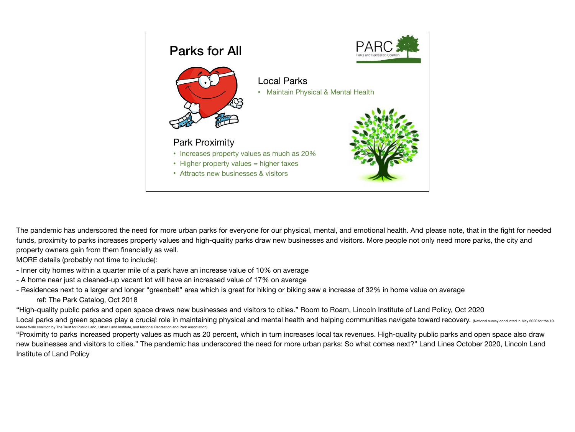





Local Parks • Maintain Physical & Mental Health

#### Park Proximity

- Increases property values as much as 20%
- Higher property values = higher taxes
- Attracts new businesses & visitors



The pandemic has underscored the need for more urban parks for everyone for our physical, mental, and emotional health. And please note, that in the fight for needed funds, proximity to parks increases property values and high-quality parks draw new businesses and visitors. More people not only need more parks, the city and property owners gain from them financially as well.

MORE details (probably not time to include):

- Inner city homes within a quarter mile of a park have an increase value of 10% on average
- A home near just a cleaned-up vacant lot will have an increased value of 17% on average
- Residences next to a larger and longer "greenbelt" area which is great for hiking or biking saw a increase of 32% in home value on average ref: The Park Catalog, Oct 2018

"High-quality public parks and open space draws new businesses and visitors to cities." Room to Roam, Lincoln Institute of Land Policy, Oct 2020

Local parks and green spaces play a crucial role in maintaining physical and mental health and helping communities navigate toward recovery. (National survey conducted in May 2020 for the 10 Minute Walk coalition by The Trust for Public Land, Urban Land Institute, and National Recreation and Park Association)

"Proximity to parks increased property values as much as 20 percent, which in turn increases local tax revenues. High-quality public parks and open space also draw new businesses and visitors to cities." The pandemic has underscored the need for more urban parks: So what comes next?" Land Lines October 2020, Lincoln Land Institute of Land Policy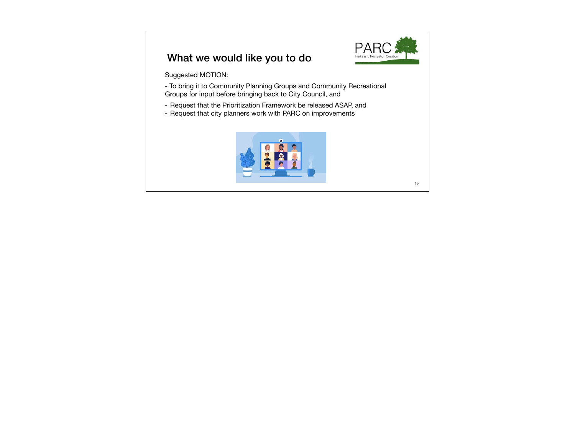

## What we would like you to do

Suggested MOTION:

- To bring it to Community Planning Groups and Community Recreational Groups for input before bringing back to City Council, and

- Request that the Prioritization Framework be released ASAP, and
- Request that city planners work with PARC on improvements



19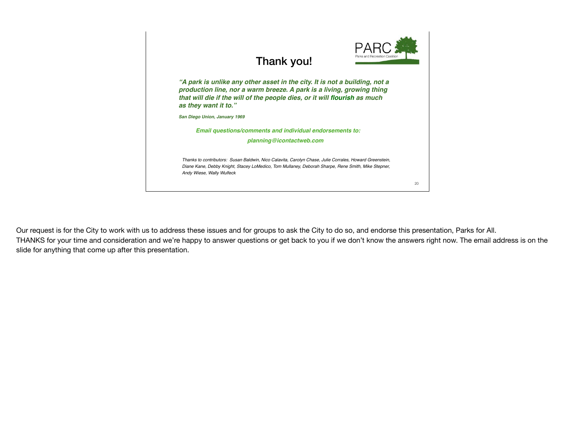

### Thank you!

*"A park is unlike any other asset in the city. It is not a building, not a production line, nor a warm breeze. A park is a living, growing thing that will die if the will of the people dies, or it will flourish as much as they want it to."* 

*San Diego Union, January 1969*

*Email questions/comments and individual endorsements to:*

*planning@icontactweb.com*

*Thanks to contributors: Susan Baldwin, Nico Calavita, Carolyn Chase, Julie Corrales, Howard Greenstein, Diane Kane, Debby Knight, Stacey LoMedico, Tom Mullaney, Deborah Sharpe, Rene Smith, Mike Stepner, Andy Wiese, Wally Wulfeck*

Our request is for the City to work with us to address these issues and for groups to ask the City to do so, and endorse this presentation, Parks for All. THANKS for your time and consideration and we're happy to answer questions or get back to you if we don't know the answers right now. The email address is on the slide for anything that come up after this presentation.